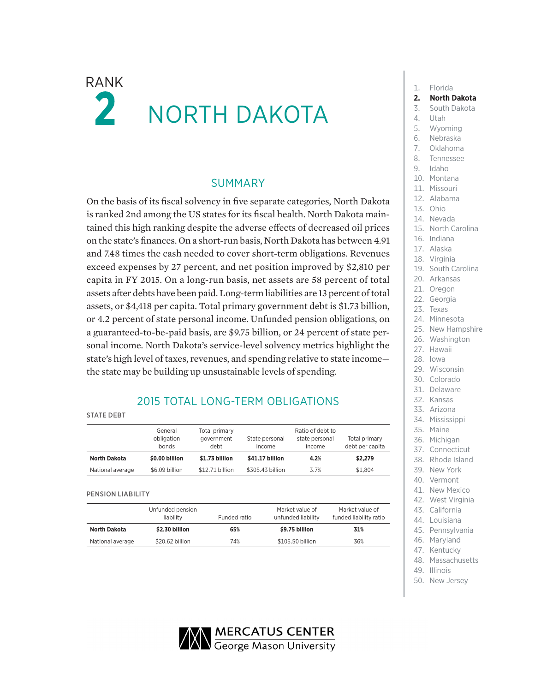# $\mathsf{RANK}$   $\blacksquare$  Florida  $\boldsymbol{z}$ NORTH DAKOTA

### SUMMARY

On the basis of its fiscal solvency in five separate categories, North Dakota is ranked 2nd among the US states for its fiscal health. North Dakota maintained this high ranking despite the adverse effects of decreased oil prices on the state's finances. On a short-run basis, North Dakota has between 4.91 and 7.48 times the cash needed to cover short-term obligations. Revenues exceed expenses by 27 percent, and net position improved by \$2,810 per capita in FY 2015. On a long-run basis, net assets are 58 percent of total assets after debts have been paid. Long-term liabilities are 13 percent of total assets, or \$4,418 per capita. Total primary government debt is \$1.73 billion, or 4.2 percent of state personal income. Unfunded pension obligations, on a guaranteed-to-be-paid basis, are \$9.75 billion, or 24 percent of state personal income. North Dakota's service-level solvency metrics highlight the state's high level of taxes, revenues, and spending relative to state income the state may be building up unsustainable levels of spending.

## 2015 TOTAL LONG-TERM OBLIGATIONS

#### STATE DEBT

|                     | General<br>obligation<br>bonds | Total primary<br>government<br>debt | State personal<br>income | Ratio of debt to<br>state personal<br>income | Total primary<br>debt per capita |
|---------------------|--------------------------------|-------------------------------------|--------------------------|----------------------------------------------|----------------------------------|
| <b>North Dakota</b> | \$0.00 billion                 | \$1.73 billion                      | \$41.17 billion          | 4.2%                                         | \$2,279                          |
| National average    | \$6.09 billion                 | \$12.71 billion                     | \$305,43 billion         | 3.7%                                         | \$1.804                          |

### PENSION LIABILITY

| Unfunded pension<br>liability |                 | Funded ratio | Market value of<br>unfunded liability | Market value of<br>funded liability ratio |  |
|-------------------------------|-----------------|--------------|---------------------------------------|-------------------------------------------|--|
| <b>North Dakota</b>           | \$2.30 billion  | 65%          | \$9.75 billion                        | 31%                                       |  |
| National average              | \$20.62 billion | 74%          | \$105.50 billion                      | 36%                                       |  |

- **2. North Dakota**
- 3. South Dakota

### 4. Utah

- 
- 5. Wyoming
- 6. Nebraska
- 7. Oklahoma
- 8. Tennessee
- 9. Idaho
- 10. Montana
- 11. Missouri
- 12. Alabama
- 13. Ohio
- 14. Nevada
- 15. North Carolina
- 16. Indiana
- 17. Alaska
- 18. Virginia
- 19. South Carolina
- 20. Arkansas
- 21. Oregon
- 22. Georgia
- 23. Texas
- 24. Minnesota
- 25. New Hampshire
- 26. Washington
- 27. Hawaii
- 28. Iowa
- 29. Wisconsin
- 30. Colorado
- 31. Delaware
- 32. Kansas
- 33. Arizona
- 34. Mississippi
- 35. Maine
- 36. Michigan
- 37. Connecticut
- 38. Rhode Island
- 39. New York
- 40. Vermont
- 41. New Mexico
- 42. West Virginia
- 43. California
- 44. Louisiana
- 45. Pennsylvania
- 46. Maryland
- 47. Kentucky
- 48. Massachusetts 49. Illinois
- 
- 50. New Jersey